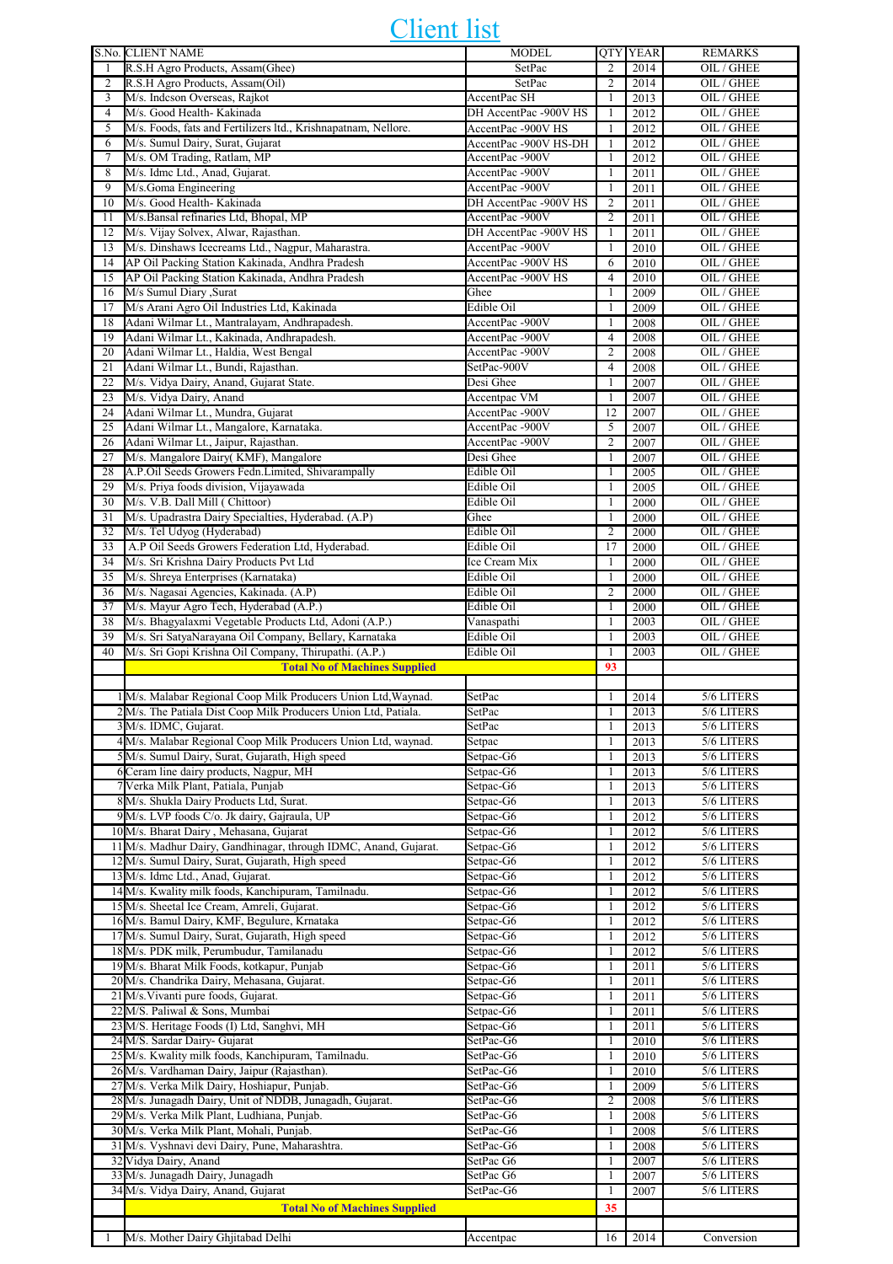## Client list

|                | S.No. CLIENT NAME                                                | <b>MODEL</b>          |                | <b>QTY YEAR</b> | <b>REMARKS</b> |
|----------------|------------------------------------------------------------------|-----------------------|----------------|-----------------|----------------|
|                | R.S.H Agro Products, Assam(Ghee)                                 | SetPac                | 2              | 2014            | OIL / GHEE     |
| $\overline{c}$ | R.S.H Agro Products, Assam(Oil)                                  | SetPac                | $\overline{c}$ | 2014            | OIL / GHEE     |
| 3              | M/s. Indcson Overseas, Rajkot                                    | AccentPac SH          | $\mathbf{1}$   | 2013            | OIL / GHEE     |
| $\overline{4}$ | M/s. Good Health- Kakinada                                       | DH AccentPac -900V HS | 1              | 2012            | OIL / GHEE     |
| 5              | M/s. Foods, fats and Fertilizers ltd., Krishnapatnam, Nellore.   | AccentPac -900V HS    | $\mathbf{1}$   | 2012            | OIL / GHEE     |
|                |                                                                  |                       |                |                 |                |
| 6              | M/s. Sumul Dairy, Surat, Gujarat                                 | AccentPac -900V HS-DH | $\mathbf{1}$   | 2012            | OIL / GHEE     |
| 7              | M/s. OM Trading, Ratlam, MP                                      | AccentPac-900V        | 1              | 2012            | OIL / GHEE     |
| 8              | M/s. Idmc Ltd., Anad, Gujarat.                                   | AccentPac-900V        | 1              | 2011            | OIL / GHEE     |
| 9              | M/s.Goma Engineering                                             | AccentPac-900V        | $\mathbf{1}$   | 2011            | OIL / GHEE     |
| 10             | M/s. Good Health- Kakinada                                       | DH AccentPac -900V HS | $\overline{c}$ | 2011            | OIL / GHEE     |
| 11             | M/s.Bansal refinaries Ltd, Bhopal, MP                            | AccentPac-900V        | $\overline{2}$ | 2011            | OIL / GHEE     |
|                | M/s. Vijay Solvex, Alwar, Rajasthan.                             | DH AccentPac -900V HS |                |                 | OIL / GHEE     |
| 12             |                                                                  |                       | $\mathbf{1}$   | 2011            |                |
| 13             | M/s. Dinshaws Icecreams Ltd., Nagpur, Maharastra.                | AccentPac-900V        | 1              | 2010            | OIL / GHEE     |
| 14             | AP Oil Packing Station Kakinada, Andhra Pradesh                  | AccentPac -900V HS    | 6              | 2010            | OIL / GHEE     |
| 15             | AP Oil Packing Station Kakinada, Andhra Pradesh                  | AccentPac -900V HS    | $\overline{4}$ | 2010            | OIL / GHEE     |
| 16             | M/s Sumul Diary , Surat                                          | Ghee                  | 1              | 2009            | OIL / GHEE     |
| 17             | M/s Arani Agro Oil Industries Ltd, Kakinada                      | Edible Oil            | 1              | 2009            | OIL / GHEE     |
|                |                                                                  |                       |                |                 |                |
| 18             | Adani Wilmar Lt., Mantralayam, Andhrapadesh.                     | AccentPac -900V       | 1              | 2008            | OIL / GHEE     |
| 19             | Adani Wilmar Lt., Kakinada, Andhrapadesh.                        | AccentPac-900V        | $\overline{4}$ | 2008            | OIL / GHEE     |
| 20             | Adani Wilmar Lt., Haldia, West Bengal                            | AccentPac-900V        | $\overline{2}$ | 2008            | OIL / GHEE     |
| 21             | Adani Wilmar Lt., Bundi, Rajasthan.                              | SetPac-900V           | $\overline{4}$ | 2008            | OIL / GHEE     |
| 22             | M/s. Vidya Dairy, Anand, Gujarat State.                          | Desi Ghee             | 1              | 2007            | OIL / GHEE     |
|                |                                                                  |                       |                |                 |                |
| 23             | M/s. Vidya Dairy, Anand                                          | Accentpac VM          | 1              | 2007            | OIL / GHEE     |
| 24             | Adani Wilmar Lt., Mundra, Gujarat                                | AccentPac-900V        | 12             | 2007            | OIL / GHEE     |
| 25             | Adani Wilmar Lt., Mangalore, Karnataka.                          | AccentPac-900V        | 5              | 2007            | OIL / GHEE     |
| 26             | Adani Wilmar Lt., Jaipur, Rajasthan.                             | AccentPac -900V       | $\overline{c}$ | 2007            | OIL / GHEE     |
| 27             | M/s. Mangalore Dairy(KMF), Mangalore                             | Desi Ghee             | $\mathbf{1}$   |                 | OIL / GHEE     |
|                |                                                                  |                       |                | 2007            |                |
| 28             | A.P.Oil Seeds Growers Fedn.Limited, Shivarampally                | Edible Oil            | 1              | 2005            | OIL / GHEE     |
| 29             | M/s. Priya foods division, Vijayawada                            | Edible Oil            | 1              | 2005            | OIL / GHEE     |
| 30             | M/s. V.B. Dall Mill (Chittoor)                                   | Edible Oil            | $\mathbf{1}$   | 2000            | OIL / GHEE     |
| 31             | M/s. Upadrastra Dairy Specialties, Hyderabad. (A.P)              | Ghee                  | 1              | 2000            | OIL / GHEE     |
|                |                                                                  |                       |                |                 |                |
| 32             | M/s. Tel Udyog (Hyderabad)                                       | Edible Oil            | $\overline{2}$ | 2000            | OIL / GHEE     |
| 33             | A.P Oil Seeds Growers Federation Ltd, Hyderabad.                 | Edible Oil            | 17             | 2000            | OIL / GHEE     |
| 34             | M/s. Sri Krishna Dairy Products Pvt Ltd                          | Ice Cream Mix         | 1              | 2000            | OIL / GHEE     |
| 35             | M/s. Shreya Enterprises (Karnataka)                              | Edible Oil            | $\mathbf{1}$   | 2000            | OIL / GHEE     |
| 36             | M/s. Nagasai Agencies, Kakinada. (A.P)                           | Edible Oil            | $\overline{2}$ | 2000            | OIL / GHEE     |
|                |                                                                  |                       |                |                 |                |
| 37             | M/s. Mayur Agro Tech, Hyderabad (A.P.)                           | Edible Oil            | 1              | 2000            | OIL / GHEE     |
| 38             | M/s. Bhagyalaxmi Vegetable Products Ltd, Adoni (A.P.)            | Vanaspathi            | 1              | 2003            | OIL / GHEE     |
| 39             | M/s. Sri SatyaNarayana Oil Company, Bellary, Karnataka           | Edible Oil            | 1              | 2003            | OIL / GHEE     |
| 40             | M/s. Sri Gopi Krishna Oil Company, Thirupathi. (A.P.)            | Edible Oil            | $\mathbf{1}$   | 2003            | OIL / GHEE     |
|                |                                                                  |                       |                |                 |                |
|                |                                                                  |                       |                |                 |                |
|                | <b>Total No of Machines Supplied</b>                             |                       | 93             |                 |                |
|                |                                                                  |                       |                |                 |                |
|                | 1M/s. Malabar Regional Coop Milk Producers Union Ltd, Waynad.    | SetPac                | 1              | 2014            | 5/6 LITERS     |
|                | 2M/s. The Patiala Dist Coop Milk Producers Union Ltd, Patiala.   | SetPac                | $\mathbf{1}$   | 2013            | 5/6 LITERS     |
|                | 3 M/s. IDMC, Gujarat.                                            | SetPac                | $\mathbf{1}$   | 2013            | 5/6 LITERS     |
|                |                                                                  |                       |                |                 |                |
|                | 4 M/s. Malabar Regional Coop Milk Producers Union Ltd, waynad.   | Setpac                | $\mathbf{1}$   | 2013            | 5/6 LITERS     |
|                | 5M/s. Sumul Dairy, Surat, Gujarath, High speed                   | Setpac-G6             | 1              | 2013            | 5/6 LITERS     |
|                | 6 Ceram line dairy products, Nagpur, MH                          | Setpac-G6             | $\mathbf{1}$   | 2013            | 5/6 LITERS     |
|                | 7 Verka Milk Plant, Patiala, Punjab                              | Setpac-G6             | $\mathbf{1}$   | 2013            | 5/6 LITERS     |
|                | 8 M/s. Shukla Dairy Products Ltd, Surat.                         | Setpac-G6             | $\mathbf{1}$   | 2013            | 5/6 LITERS     |
|                | 9 M/s. LVP foods C/o. Jk dairy, Gajraula, UP                     | Setpac-G6             | $\mathbf{1}$   | 2012            | 5/6 LITERS     |
|                |                                                                  |                       |                |                 |                |
|                | 10 M/s. Bharat Dairy, Mehasana, Gujarat                          | Setpac-G6             | $\mathbf{1}$   | 2012            | 5/6 LITERS     |
|                | 11 M/s. Madhur Dairy, Gandhinagar, through IDMC, Anand, Gujarat. | Setpac-G6             | $\mathbf{1}$   | 2012            | 5/6 LITERS     |
|                | 12 M/s. Sumul Dairy, Surat, Gujarath, High speed                 | Setpac-G6             | $\mathbf{1}$   | 2012            | 5/6 LITERS     |
|                | 13 M/s. Idmc Ltd., Anad, Gujarat.                                | Setpac-G6             | 1              | 2012            | 5/6 LITERS     |
|                | 14 M/s. Kwality milk foods, Kanchipuram, Tamilnadu.              | Setpac-G6             | $\mathbf{1}$   | 2012            | 5/6 LITERS     |
|                |                                                                  | Setpac-G6             | $\mathbf{1}$   |                 |                |
|                | 15 M/s. Sheetal Ice Cream, Amreli, Gujarat.                      |                       |                | 2012            | 5/6 LITERS     |
|                | 16 M/s. Bamul Dairy, KMF, Begulure, Krnataka                     | Setpac-G6             | $\mathbf{1}$   | 2012            | 5/6 LITERS     |
|                | 17 M/s. Sumul Dairy, Surat, Gujarath, High speed                 | Setpac-G6             | $\mathbf{1}$   | 2012            | 5/6 LITERS     |
|                | 18 M/s. PDK milk, Perumbudur, Tamilanadu                         | Setpac-G6             | $\mathbf{1}$   | 2012            | 5/6 LITERS     |
|                | 19 M/s. Bharat Milk Foods, kotkapur, Punjab                      | Setpac-G6             | 1              | 2011            | 5/6 LITERS     |
|                |                                                                  | Setpac-G6             | $\mathbf{1}$   | 2011            | 5/6 LITERS     |
|                | 20 M/s. Chandrika Dairy, Mehasana, Gujarat.                      |                       |                |                 |                |
|                | 21 M/s. Vivanti pure foods, Gujarat.                             | Setpac-G6             | $\mathbf{1}$   | 2011            | $5/6$ LITERS   |
|                | 22 M/S. Paliwal & Sons, Mumbai                                   | Setpac-G6             | 1              | 2011            | 5/6 LITERS     |
|                | 23 M/S. Heritage Foods (I) Ltd, Sanghvi, MH                      | Setpac-G6             | $\mathbf{1}$   | 2011            | 5/6 LITERS     |
|                | 24 M/S. Sardar Dairy- Gujarat                                    | SetPac-G6             | $\mathbf{1}$   | 2010            | 5/6 LITERS     |
|                |                                                                  | SetPac-G6             | 1              | 2010            | 5/6 LITERS     |
|                | 25 M/s. Kwality milk foods, Kanchipuram, Tamilnadu.              |                       |                |                 |                |
|                | 26 M/s. Vardhaman Dairy, Jaipur (Rajasthan).                     | SetPac-G6             | $\mathbf{1}$   | 2010            | 5/6 LITERS     |
|                | 27 M/s. Verka Milk Dairy, Hoshiapur, Punjab.                     | SetPac-G6             | $\mathbf{1}$   | 2009            | 5/6 LITERS     |
|                | 28 M/s. Junagadh Dairy, Unit of NDDB, Junagadh, Gujarat.         | SetPac-G6             | $\overline{c}$ | 2008            | 5/6 LITERS     |
|                | 29 M/s. Verka Milk Plant, Ludhiana, Punjab.                      | SetPac-G6             | $\mathbf{1}$   | 2008            | 5/6 LITERS     |
|                | 30 M/s. Verka Milk Plant, Mohali, Punjab.                        | SetPac-G6             | $\mathbf{1}$   | 2008            | 5/6 LITERS     |
|                |                                                                  |                       |                |                 |                |
|                | 31 M/s. Vyshnavi devi Dairy, Pune, Maharashtra.                  | SetPac-G6             | 1              | 2008            | 5/6 LITERS     |
|                | 32 Vidya Dairy, Anand                                            | SetPac G6             | $\mathbf{1}$   | 2007            | 5/6 LITERS     |
|                | 33 M/s. Junagadh Dairy, Junagadh                                 | SetPac G6             | 1              | 2007            | 5/6 LITERS     |
|                | 34 M/s. Vidya Dairy, Anand, Gujarat                              | SetPac-G6             | 1              | 2007            | 5/6 LITERS     |
|                |                                                                  |                       |                |                 |                |
|                | <b>Total No of Machines Supplied</b>                             |                       | 35             |                 |                |
| 1              | M/s. Mother Dairy Ghjitabad Delhi                                | Accentpac             | 16             | 2014            | Conversion     |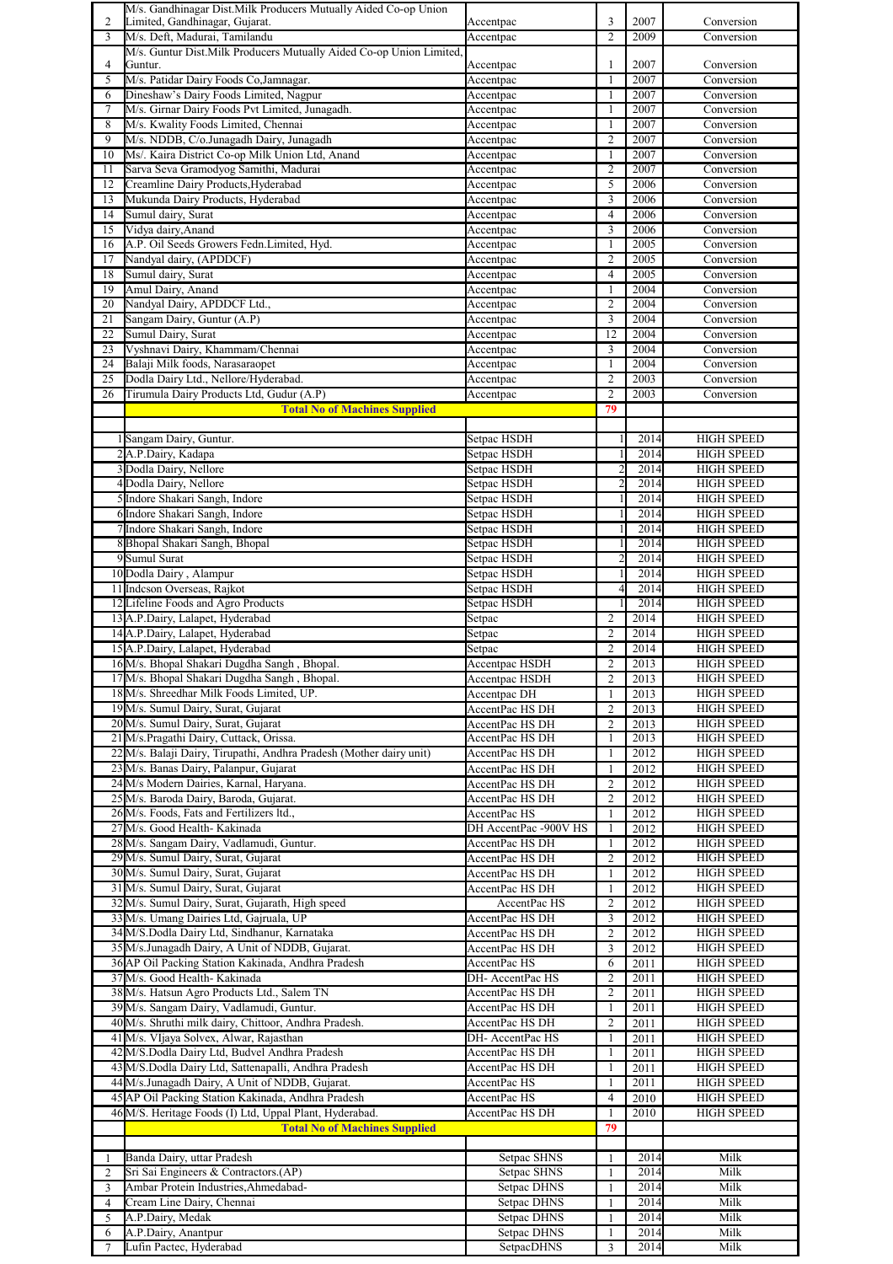|                | M/s. Gandhinagar Dist. Milk Producers Mutually Aided Co-op Union    |                            |                |      |                   |
|----------------|---------------------------------------------------------------------|----------------------------|----------------|------|-------------------|
| 2              | Limited, Gandhinagar, Gujarat.                                      | Accentpac                  | 3              | 2007 | Conversion        |
| 3              | M/s. Deft, Madurai, Tamilandu                                       | Accentpac                  | $\overline{c}$ | 2009 | Conversion        |
|                | M/s. Guntur Dist.Milk Producers Mutually Aided Co-op Union Limited, |                            |                |      |                   |
| 4              | Guntur.                                                             | Accentpac                  | 1              | 2007 | Conversion        |
| 5              | M/s. Patidar Dairy Foods Co, Jamnagar.                              | Accentpac                  | 1              | 2007 | Conversion        |
| 6              | Dineshaw's Dairy Foods Limited, Nagpur                              | Accentpac                  | 1              | 2007 | Conversion        |
| 7              | M/s. Girnar Dairy Foods Pvt Limited, Junagadh.                      | Accentpac                  | 1              | 2007 | Conversion        |
| 8              | M/s. Kwality Foods Limited, Chennai                                 | Accentpac                  | 1              | 2007 | Conversion        |
| 9              | M/s. NDDB, C/o.Junagadh Dairy, Junagadh                             | Accentpac                  | $\overline{c}$ | 2007 | Conversion        |
| 10             | Ms/. Kaira District Co-op Milk Union Ltd, Anand                     | Accentpac                  | 1              | 2007 | Conversion        |
| 11             | Sarva Seva Gramodyog Samithi, Madurai                               | Accentpac                  | $\overline{c}$ | 2007 | Conversion        |
| 12             | Creamline Dairy Products, Hyderabad                                 | Accentpac                  | 5              | 2006 | Conversion        |
| 13             | Mukunda Dairy Products, Hyderabad                                   | Accentpac                  | 3              | 2006 | Conversion        |
| 14             | Sumul dairy, Surat                                                  | Accentpac                  | 4              | 2006 | Conversion        |
| 15             | Vidya dairy, Anand                                                  | Accentpac                  | 3              | 2006 | Conversion        |
| 16             | A.P. Oil Seeds Growers Fedn.Limited, Hyd.                           | Accentpac                  | 1              | 2005 | Conversion        |
| 17             | Nandyal dairy, (APDDCF)                                             | Accentpac                  | 2              | 2005 | Conversion        |
| 18             | Sumul dairy, Surat                                                  |                            | $\overline{4}$ | 2005 | Conversion        |
| 19             | Amul Dairy, Anand                                                   | Accentpac<br>Accentpac     | 1              | 2004 | Conversion        |
| 20             | Nandyal Dairy, APDDCF Ltd                                           | Accentpac                  | 2              | 2004 | Conversion        |
| 21             | Sangam Dairy, Guntur (A.P)                                          |                            | 3              | 2004 |                   |
|                |                                                                     | Accentpac                  |                |      | Conversion        |
| 22             | Sumul Dairy, Surat                                                  | Accentpac                  | 12             | 2004 | Conversion        |
| 23             | Vyshnavi Dairy, Khammam/Chennai                                     | Accentpac                  | 3              | 2004 | Conversion        |
| 24             | Balaji Milk foods, Narasaraopet                                     | Accentpac                  | 1              | 2004 | Conversion        |
| 25             | Dodla Dairy Ltd., Nellore/Hyderabad.                                | Accentpac                  | $\overline{c}$ | 2003 | Conversion        |
| 26             | Tirumula Dairy Products Ltd, Gudur (A.P)                            | Accentpac                  | $\overline{2}$ | 2003 | Conversion        |
|                | <b>Total No of Machines Supplied</b>                                |                            | 79             |      |                   |
|                |                                                                     |                            |                |      |                   |
|                | Sangam Dairy, Guntur.                                               | Setpac HSDH                |                | 2014 | <b>HIGH SPEED</b> |
|                | 2A.P.Dairy, Kadapa                                                  | Setpac HSDH                |                | 2014 | <b>HIGH SPEED</b> |
|                | 3 Dodla Dairy, Nellore                                              | Setpac HSDH                |                | 2014 | <b>HIGH SPEED</b> |
|                | 4 Dodla Dairy, Nellore                                              | Setpac HSDH                | $\overline{c}$ | 2014 | <b>HIGH SPEED</b> |
|                | 5 Indore Shakari Sangh, Indore                                      | Setpac HSDH                |                | 2014 | <b>HIGH SPEED</b> |
|                | 6 Indore Shakari Sangh, Indore                                      | Setpac HSDH                |                | 2014 | <b>HIGH SPEED</b> |
|                | 7Indore Shakari Sangh, Indore                                       | Setpac HSDH                |                | 2014 | <b>HIGH SPEED</b> |
|                | 8 Bhopal Shakari Sangh, Bhopal                                      | Setpac HSDH                |                | 2014 | <b>HIGH SPEED</b> |
|                | 9 Sumul Surat                                                       | Setpac HSDH                |                | 2014 | <b>HIGH SPEED</b> |
|                |                                                                     |                            |                | 2014 |                   |
|                | 10 Dodla Dairy, Alampur                                             | Setpac HSDH<br>Setpac HSDH |                |      | <b>HIGH SPEED</b> |
|                | 11 Indeson Overseas, Rajkot                                         |                            |                | 2014 | <b>HIGH SPEED</b> |
|                | 12 Lifeline Foods and Agro Products                                 | Setpac HSDH                |                | 2014 | <b>HIGH SPEED</b> |
|                | 13 A.P.Dairy, Lalapet, Hyderabad                                    | Setpac                     | 2              | 2014 | <b>HIGH SPEED</b> |
|                | 14 A.P.Dairy, Lalapet, Hyderabad                                    | Setpac                     | $\overline{c}$ | 2014 | <b>HIGH SPEED</b> |
|                | 15 A.P.Dairy, Lalapet, Hyderabad                                    | Setpac                     | $\overline{2}$ | 2014 | <b>HIGH SPEED</b> |
|                | 16 M/s. Bhopal Shakari Dugdha Sangh, Bhopal.                        | Accentpac HSDH             | $\overline{2}$ | 2013 | <b>HIGH SPEED</b> |
|                | 17 M/s. Bhopal Shakari Dugdha Sangh, Bhopal.                        | Accentpac HSDH             | $\overline{2}$ | 2013 | <b>HIGH SPEED</b> |
|                | 18 M/s. Shreedhar Milk Foods Limited, UP.                           | Accentpac DH               | $\mathbf{1}$   | 2013 | <b>HIGH SPEED</b> |
|                | 19 M/s. Sumul Dairy, Surat, Gujarat                                 | AccentPac HS DH            | $\overline{c}$ | 2013 | <b>HIGH SPEED</b> |
|                | 20 M/s. Sumul Dairy, Surat, Gujarat                                 | AccentPac HS DH            | $\overline{c}$ | 2013 | <b>HIGH SPEED</b> |
|                | 21 M/s.Pragathi Dairy, Cuttack, Orissa.                             | AccentPac HS DH            | $\mathbf{1}$   | 2013 | <b>HIGH SPEED</b> |
|                | 22 M/s. Balaji Dairy, Tirupathi, Andhra Pradesh (Mother dairy unit) | AccentPac HS DH            | 1              | 2012 | <b>HIGH SPEED</b> |
|                | 23 M/s. Banas Dairy, Palanpur, Gujarat                              | AccentPac HS DH            | 1              | 2012 | <b>HIGH SPEED</b> |
|                | 24 M/s Modern Dairies, Karnal, Haryana.                             | AccentPac HS DH            | $\overline{c}$ | 2012 | <b>HIGH SPEED</b> |
|                | 25 M/s. Baroda Dairy, Baroda, Gujarat.                              | AccentPac HS DH            | $\overline{c}$ | 2012 | <b>HIGH SPEED</b> |
|                | 26 M/s. Foods, Fats and Fertilizers ltd.,                           | AccentPac HS               | $\mathbf{1}$   | 2012 | <b>HIGH SPEED</b> |
|                | 27 M/s. Good Health- Kakinada                                       | DH AccentPac -900V HS      | 1              | 2012 | <b>HIGH SPEED</b> |
|                | 28 M/s. Sangam Dairy, Vadlamudi, Guntur.                            | AccentPac HS DH            | 1              | 2012 | <b>HIGH SPEED</b> |
|                | 29 M/s. Sumul Dairy, Surat, Gujarat                                 | AccentPac HS DH            | 2              | 2012 | <b>HIGH SPEED</b> |
|                | 30 M/s. Sumul Dairy, Surat, Gujarat                                 | AccentPac HS DH            | $\mathbf{1}$   | 2012 | <b>HIGH SPEED</b> |
|                | 31 M/s. Sumul Dairy, Surat, Gujarat                                 | AccentPac HS DH            | 1              | 2012 | <b>HIGH SPEED</b> |
|                | 32 M/s. Sumul Dairy, Surat, Gujarath, High speed                    | AccentPac HS               | 2              | 2012 | <b>HIGH SPEED</b> |
|                | 33 M/s. Umang Dairies Ltd, Gajruala, UP                             |                            |                |      |                   |
|                |                                                                     | AccentPac HS DH            | 3              | 2012 | <b>HIGH SPEED</b> |
|                | 34 M/S.Dodla Dairy Ltd, Sindhanur, Karnataka                        | AccentPac HS DH            | $\overline{c}$ | 2012 | <b>HIGH SPEED</b> |
|                | 35 M/s.Junagadh Dairy, A Unit of NDDB, Gujarat.                     | AccentPac HS DH            | 3              | 2012 | <b>HIGH SPEED</b> |
|                | 36 AP Oil Packing Station Kakinada, Andhra Pradesh                  | AccentPac HS               | 6              | 2011 | <b>HIGH SPEED</b> |
|                | 37 M/s. Good Health- Kakinada                                       | DH- AccentPac HS           | $\overline{c}$ | 2011 | <b>HIGH SPEED</b> |
|                | 38 M/s. Hatsun Agro Products Ltd., Salem TN                         | AccentPac HS DH            | 2              | 2011 | <b>HIGH SPEED</b> |
|                | 39 M/s. Sangam Dairy, Vadlamudi, Guntur.                            | AccentPac HS DH            | 1              | 2011 | <b>HIGH SPEED</b> |
|                | 40 M/s. Shruthi milk dairy, Chittoor, Andhra Pradesh.               | AccentPac HS DH            | $\overline{c}$ | 2011 | <b>HIGH SPEED</b> |
|                | 41 M/s. VIjaya Solvex, Alwar, Rajasthan                             | DH- AccentPac HS           | $\mathbf{1}$   | 2011 | <b>HIGH SPEED</b> |
|                | 42 M/S.Dodla Dairy Ltd, Budvel Andhra Pradesh                       | AccentPac HS DH            | 1              | 2011 | <b>HIGH SPEED</b> |
|                | 43 M/S.Dodla Dairy Ltd, Sattenapalli, Andhra Pradesh                | AccentPac HS DH            | 1              | 2011 | <b>HIGH SPEED</b> |
|                | 44 M/s.Junagadh Dairy, A Unit of NDDB, Gujarat.                     | AccentPac HS               | $\mathbf{1}$   | 2011 | <b>HIGH SPEED</b> |
|                | 45 AP Oil Packing Station Kakinada, Andhra Pradesh                  | AccentPac HS               | 4              | 2010 | <b>HIGH SPEED</b> |
|                | 46 M/S. Heritage Foods (I) Ltd, Uppal Plant, Hyderabad.             | AccentPac HS DH            | 1              | 2010 | <b>HIGH SPEED</b> |
|                | <b>Total No of Machines Supplied</b>                                |                            | 79             |      |                   |
|                |                                                                     |                            |                |      |                   |
| 1              | Banda Dairy, uttar Pradesh                                          | Setpac SHNS                | 1              | 2014 | Milk              |
| $\overline{c}$ | Sri Sai Engineers & Contractors.(AP)                                | Setpac SHNS                | $\mathbf{1}$   | 2014 | Milk              |
| 3              | Ambar Protein Industries, Ahmedabad-                                | Setpac DHNS                |                | 2014 | Milk              |
| $\overline{4}$ | Cream Line Dairy, Chennai                                           | Setpac DHNS                | 1              | 2014 | Milk              |
| 5              | A.P.Dairy, Medak                                                    | Setpac DHNS                | 1              | 2014 | Milk              |
| 6              | A.P.Dairy, Anantpur                                                 | Setpac DHNS                | 1              | 2014 | Milk              |
| $\tau$         | Lufin Pactec, Hyderabad                                             | SetpacDHNS                 | 3              | 2014 | Milk              |
|                |                                                                     |                            |                |      |                   |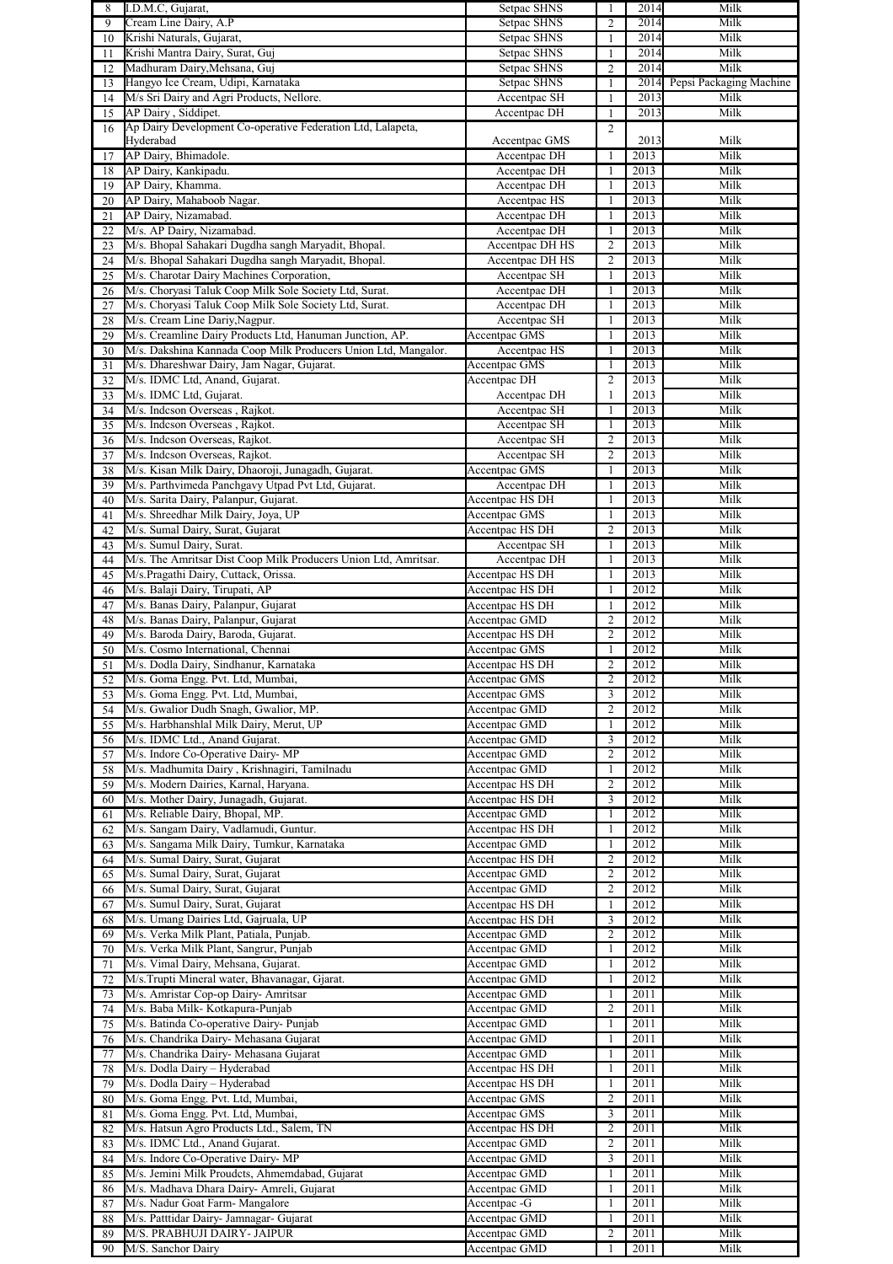| 8  | I.D.M.C. Gujarat,                                               | Setpac SHNS     | $\mathbf{1}$   | 2014 | Milk                    |
|----|-----------------------------------------------------------------|-----------------|----------------|------|-------------------------|
| 9  | Cream Line Dairy, A.P                                           | Setpac SHNS     | $\overline{c}$ | 2014 | Milk                    |
| 10 | Krishi Naturals, Gujarat,                                       | Setpac SHNS     | $\mathbf{1}$   | 2014 | Milk                    |
| 11 | Krishi Mantra Dairy, Surat, Guj                                 | Setpac SHNS     | $\mathbf{1}$   | 2014 | Milk                    |
| 12 | Madhuram Dairy, Mehsana, Guj                                    | Setpac SHNS     | $\overline{c}$ | 2014 | Milk                    |
| 13 | Hangyo Ice Cream, Udipi, Karnataka                              | Setpac SHNS     | $\mathbf{1}$   | 2014 | Pepsi Packaging Machine |
| 14 | M/s Sri Dairy and Agri Products, Nellore.                       | Accentpac SH    | $\mathbf{1}$   | 2013 | Milk                    |
|    |                                                                 |                 |                |      |                         |
| 15 | AP Dairy, Siddipet.                                             | Accentpac DH    | $\mathbf{1}$   | 2013 | Milk                    |
| 16 | Ap Dairy Development Co-operative Federation Ltd, Lalapeta,     |                 | $\overline{2}$ |      |                         |
|    | Hyderabad                                                       | Accentpac GMS   |                | 2013 | Milk                    |
| 17 | AP Dairy, Bhimadole.                                            | Accentpac DH    | 1              | 2013 | Milk                    |
| 18 | AP Dairy, Kankipadu.                                            | Accentpac DH    | $\mathbf{1}$   | 2013 | Milk                    |
| 19 | AP Dairy, Khamma.                                               | Accentpac DH    | $\mathbf{1}$   | 2013 | Milk                    |
| 20 | AP Dairy, Mahaboob Nagar.                                       | Accentpac HS    | $\mathbf{1}$   | 2013 | Milk                    |
|    |                                                                 |                 |                | 2013 |                         |
| 21 | AP Dairy, Nizamabad.                                            | Accentpac DH    | $\mathbf{1}$   |      | Milk                    |
| 22 | M/s. AP Dairy, Nizamabad.                                       | Accentpac DH    | $\mathbf{1}$   | 2013 | Milk                    |
| 23 | M/s. Bhopal Sahakari Dugdha sangh Maryadit, Bhopal.             | Accentpac DH HS | $\overline{c}$ | 2013 | Milk                    |
| 24 | M/s. Bhopal Sahakari Dugdha sangh Maryadit, Bhopal.             | Accentpac DH HS | $\overline{2}$ | 2013 | Milk                    |
| 25 | M/s. Charotar Dairy Machines Corporation,                       | Accentpac SH    | $\mathbf{1}$   | 2013 | Milk                    |
| 26 | M/s. Choryasi Taluk Coop Milk Sole Society Ltd, Surat.          | Accentpac DH    | $\mathbf{1}$   | 2013 | Milk                    |
|    | M/s. Choryasi Taluk Coop Milk Sole Society Ltd, Surat.          |                 | $\mathbf{1}$   | 2013 | Milk                    |
| 27 |                                                                 | Accentpac DH    |                |      |                         |
| 28 | M/s. Cream Line Dariy, Nagpur.                                  | Accentpac SH    | $\mathbf{1}$   | 2013 | Milk                    |
| 29 | M/s. Creamline Dairy Products Ltd, Hanuman Junction, AP.        | Accentpac GMS   | $\mathbf{1}$   | 2013 | Milk                    |
| 30 | M/s. Dakshina Kannada Coop Milk Producers Union Ltd, Mangalor.  | Accentpac HS    | $\mathbf{1}$   | 2013 | Milk                    |
| 31 | M/s. Dhareshwar Dairy, Jam Nagar, Gujarat.                      | Accentpac GMS   | $\mathbf{1}$   | 2013 | Milk                    |
| 32 | M/s. IDMC Ltd, Anand, Gujarat.                                  | Accentpac DH    | $\overline{c}$ | 2013 | Milk                    |
|    | M/s. IDMC Ltd, Gujarat.                                         |                 |                | 2013 | Milk                    |
| 33 |                                                                 | Accentpac DH    | $\mathbf{1}$   |      |                         |
| 34 | M/s. Indcson Overseas, Rajkot.                                  | Accentpac SH    | 1              | 2013 | Milk                    |
| 35 | M/s. Indcson Overseas, Rajkot.                                  | Accentpac SH    | $\mathbf{1}$   | 2013 | Milk                    |
| 36 | M/s. Indcson Overseas, Rajkot.                                  | Accentpac SH    | $\overline{2}$ | 2013 | Milk                    |
| 37 | M/s. Indcson Overseas, Rajkot.                                  | Accentpac SH    | $\overline{c}$ | 2013 | Milk                    |
| 38 | M/s. Kisan Milk Dairy, Dhaoroji, Junagadh, Gujarat.             | Accentpac GMS   | $\mathbf{1}$   | 2013 | Milk                    |
|    |                                                                 |                 |                |      |                         |
| 39 | M/s. Parthvimeda Panchgavy Utpad Pvt Ltd, Gujarat.              | Accentpac DH    | $\mathbf{1}$   | 2013 | Milk                    |
| 40 | M/s. Sarita Dairy, Palanpur, Gujarat.                           | Accentpac HS DH | $\mathbf{1}$   | 2013 | Milk                    |
| 41 | M/s. Shreedhar Milk Dairy, Joya, UP                             | Accentpac GMS   | $\mathbf{1}$   | 2013 | Milk                    |
| 42 | M/s. Sumal Dairy, Surat, Gujarat                                | Accentpac HS DH | $\overline{c}$ | 2013 | Milk                    |
| 43 | M/s. Sumul Dairy, Surat.                                        | Accentpac SH    | $\mathbf{1}$   | 2013 | Milk                    |
|    | M/s. The Amritsar Dist Coop Milk Producers Union Ltd, Amritsar. |                 | $\mathbf{1}$   | 2013 | Milk                    |
| 44 |                                                                 | Accentpac DH    |                |      |                         |
| 45 | M/s.Pragathi Dairy, Cuttack, Orissa.                            | Accentpac HS DH | $\mathbf{1}$   | 2013 | Milk                    |
| 46 | M/s. Balaji Dairy, Tirupati, AP                                 | Accentpac HS DH | $\mathbf{1}$   | 2012 | Milk                    |
| 47 | M/s. Banas Dairy, Palanpur, Gujarat                             | Accentpac HS DH | $\mathbf{1}$   | 2012 | Milk                    |
| 48 | M/s. Banas Dairy, Palanpur, Gujarat                             | Accentpac GMD   | $\overline{c}$ | 2012 | Milk                    |
| 49 | M/s. Baroda Dairy, Baroda, Gujarat.                             | Accentpac HS DH | $\overline{c}$ | 2012 | Milk                    |
| 50 | M/s. Cosmo International, Chennai                               | Accentpac GMS   | $\mathbf{1}$   | 2012 | Milk                    |
|    |                                                                 |                 |                |      |                         |
| 51 | M/s. Dodla Dairy, Sindhanur, Karnataka                          | Accentpac HS DH | $\overline{c}$ | 2012 | Milk                    |
| 52 | M/s. Goma Engg. Pvt. Ltd, Mumbai,                               | Accentpac GMS   | $\mathbf{z}$   | 2012 | Milk                    |
| 53 | M/s. Goma Engg. Pvt. Ltd, Mumbai,                               | Accentpac GMS   | 3              | 2012 | Milk                    |
| 54 | M/s. Gwalior Dudh Snagh, Gwalior, MP.                           | Accentpac GMD   | 2              | 2012 | Milk                    |
| 55 | M/s. Harbhanshlal Milk Dairy, Merut, UP                         | Accentpac GMD   | $\mathbf{1}$   | 2012 | Milk                    |
| 56 | M/s. IDMC Ltd., Anand Gujarat.                                  | Accentpac GMD   | 3              | 2012 | Milk                    |
|    |                                                                 |                 |                |      |                         |
| 57 | M/s. Indore Co-Operative Dairy- MP                              | Accentpac GMD   | $\overline{c}$ | 2012 | Milk                    |
| 58 | M/s. Madhumita Dairy, Krishnagiri, Tamilnadu                    | Accentpac GMD   | $\mathbf{1}$   | 2012 | Milk                    |
| 59 | M/s. Modern Dairies, Karnal, Haryana.                           | Accentpac HS DH | $\overline{c}$ | 2012 | Milk                    |
| 60 | M/s. Mother Dairy, Junagadh, Gujarat.                           | Accentpac HS DH | 3              | 2012 | Milk                    |
| 61 | M/s. Reliable Dairy, Bhopal, MP.                                | Accentpac GMD   | $\mathbf{1}$   | 2012 | Milk                    |
| 62 | M/s. Sangam Dairy, Vadlamudi, Guntur.                           | Accentpac HS DH | $\mathbf{1}$   | 2012 | Milk                    |
|    |                                                                 |                 |                |      |                         |
| 63 | M/s. Sangama Milk Dairy, Tumkur, Karnataka                      | Accentpac GMD   | $\mathbf{1}$   | 2012 | Milk                    |
| 64 | M/s. Sumal Dairy, Surat, Gujarat                                | Accentpac HS DH | $\overline{c}$ | 2012 | Milk                    |
| 65 | M/s. Sumal Dairy, Surat, Gujarat                                | Accentpac GMD   | $\overline{c}$ | 2012 | Milk                    |
| 66 | M/s. Sumal Dairy, Surat, Gujarat                                | Accentpac GMD   | $\overline{c}$ | 2012 | Milk                    |
| 67 | M/s. Sumul Dairy, Surat, Gujarat                                | Accentpac HS DH | $\mathbf{1}$   | 2012 | Milk                    |
| 68 | M/s. Umang Dairies Ltd, Gajruala, UP                            | Accentpac HS DH | 3              | 2012 | Milk                    |
| 69 | M/s. Verka Milk Plant, Patiala, Punjab.                         | Accentpac GMD   | $\overline{c}$ | 2012 | Milk                    |
|    |                                                                 |                 |                |      |                         |
| 70 | M/s. Verka Milk Plant, Sangrur, Punjab                          | Accentpac GMD   | $\mathbf{1}$   | 2012 | Milk                    |
| 71 | M/s. Vimal Dairy, Mehsana, Gujarat.                             | Accentpac GMD   | $\mathbf{1}$   | 2012 | Milk                    |
| 72 | M/s. Trupti Mineral water, Bhavanagar, Gjarat.                  | Accentpac GMD   | 1              | 2012 | Milk                    |
| 73 | M/s. Amristar Cop-op Dairy- Amritsar                            | Accentpac GMD   | $\mathbf{1}$   | 2011 | Milk                    |
| 74 | M/s. Baba Milk- Kotkapura-Punjab                                | Accentpac GMD   | $\overline{2}$ | 2011 | Milk                    |
| 75 | M/s. Batinda Co-operative Dairy-Punjab                          | Accentpac GMD   | $\mathbf{1}$   | 2011 | Milk                    |
|    |                                                                 |                 |                |      |                         |
| 76 | M/s. Chandrika Dairy- Mehasana Gujarat                          | Accentpac GMD   | $\mathbf{1}$   | 2011 | Milk                    |
| 77 | M/s. Chandrika Dairy- Mehasana Gujarat                          | Accentpac GMD   | $\mathbf{1}$   | 2011 | Milk                    |
| 78 | M/s. Dodla Dairy - Hyderabad                                    | Accentpac HS DH | $\mathbf{1}$   | 2011 | Milk                    |
| 79 | M/s. Dodla Dairy - Hyderabad                                    | Accentpac HS DH | $\mathbf{1}$   | 2011 | Milk                    |
| 80 | M/s. Goma Engg. Pvt. Ltd, Mumbai,                               | Accentpac GMS   | $\overline{2}$ | 2011 | Milk                    |
|    | M/s. Goma Engg. Pvt. Ltd, Mumbai,                               |                 | 3              | 2011 | Milk                    |
| 81 |                                                                 | Accentpac GMS   |                |      |                         |
| 82 | M/s. Hatsun Agro Products Ltd., Salem, TN                       | Accentpac HS DH | $\overline{2}$ | 2011 | Milk                    |
| 83 | M/s. IDMC Ltd., Anand Gujarat.                                  | Accentpac GMD   | $\overline{c}$ | 2011 | Milk                    |
| 84 | M/s. Indore Co-Operative Dairy- MP                              | Accentpac GMD   | 3              | 2011 | Milk                    |
| 85 | M/s. Jemini Milk Proudcts, Ahmemdabad, Gujarat                  | Accentpac GMD   | $\mathbf{1}$   | 2011 | Milk                    |
| 86 | M/s. Madhava Dhara Dairy- Amreli, Gujarat                       | Accentpac GMD   | $\mathbf{1}$   | 2011 | Milk                    |
|    | M/s. Nadur Goat Farm- Mangalore                                 | Accentpac -G    | $\mathbf{1}$   | 2011 | Milk                    |
| 87 |                                                                 |                 |                |      |                         |
| 88 | M/s. Patttidar Dairy- Jamnagar- Gujarat                         | Accentpac GMD   | $\mathbf{1}$   | 2011 | Milk                    |
| 89 | M/S. PRABHUJI DAIRY- JAIPUR                                     | Accentpac GMD   | $\overline{2}$ | 2011 | Milk                    |
| 90 | M/S. Sanchor Dairy                                              | Accentpac GMD   | $\mathbf{1}$   | 2011 | Milk                    |